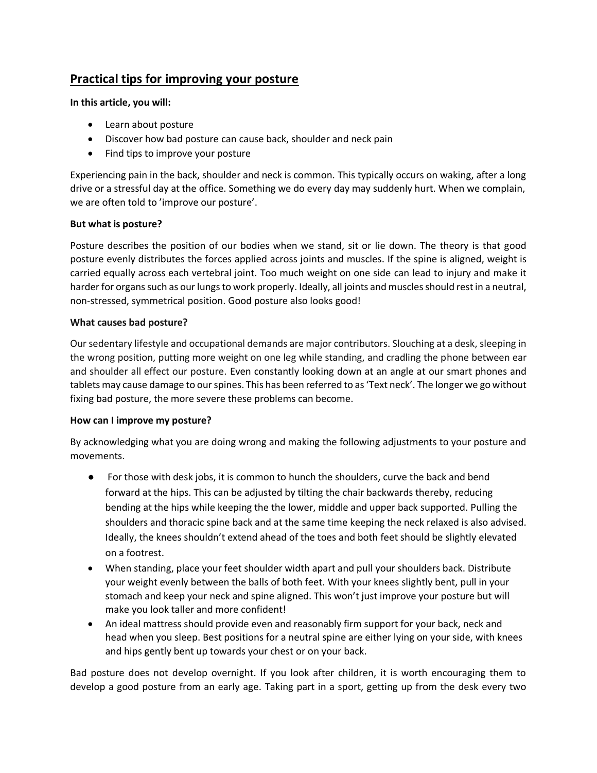# **Practical tips for improving your posture**

## **In this article, you will:**

- Learn about posture
- Discover how bad posture can cause back, shoulder and neck pain
- Find tips to improve your posture

Experiencing pain in the back, shoulder and neck is common. This typically occurs on waking, after a long drive or a stressful day at the office. Something we do every day may suddenly hurt. When we complain, we are often told to 'improve our posture'.

## **But what is posture?**

Posture describes the position of our bodies when we stand, sit or lie down. The theory is that good posture evenly distributes the forces applied across joints and muscles. If the spine is aligned, weight is carried equally across each vertebral joint. Too much weight on one side can lead to injury and make it harder for organs such as our lungs to work properly. Ideally, all joints and muscles should rest in a neutral, non-stressed, symmetrical position. Good posture also looks good!

## **What causes bad posture?**

Our sedentary lifestyle and occupational demands are major contributors. Slouching at a desk, sleeping in the wrong position, putting more weight on one leg while standing, and cradling the phone between ear and shoulder all effect our posture. Even constantly looking down at an angle at our smart phones and tablets may cause damage to our spines. This has been referred to as 'Text neck'. The longer we go without fixing bad posture, the more severe these problems can become.

#### **How can I improve my posture?**

By acknowledging what you are doing wrong and making the following adjustments to your posture and movements.

- For those with desk jobs, it is common to hunch the shoulders, curve the back and bend forward at the hips. This can be adjusted by tilting the chair backwards thereby, reducing bending at the hips while keeping the the lower, middle and upper back supported. Pulling the shoulders and thoracic spine back and at the same time keeping the neck relaxed is also advised. Ideally, the knees shouldn't extend ahead of the toes and both feet should be slightly elevated on a footrest.
- When standing, place your feet shoulder width apart and pull your shoulders back. Distribute your weight evenly between the balls of both feet. With your knees slightly bent, pull in your stomach and keep your neck and spine aligned. This won't just improve your posture but will make you look taller and more confident!
- An ideal mattress should provide even and reasonably firm support for your back, neck and head when you sleep. Best positions for a neutral spine are either lying on your side, with knees and hips gently bent up towards your chest or on your back.

Bad posture does not develop overnight. If you look after children, it is worth encouraging them to develop a good posture from an early age. Taking part in a sport, getting up from the desk every two